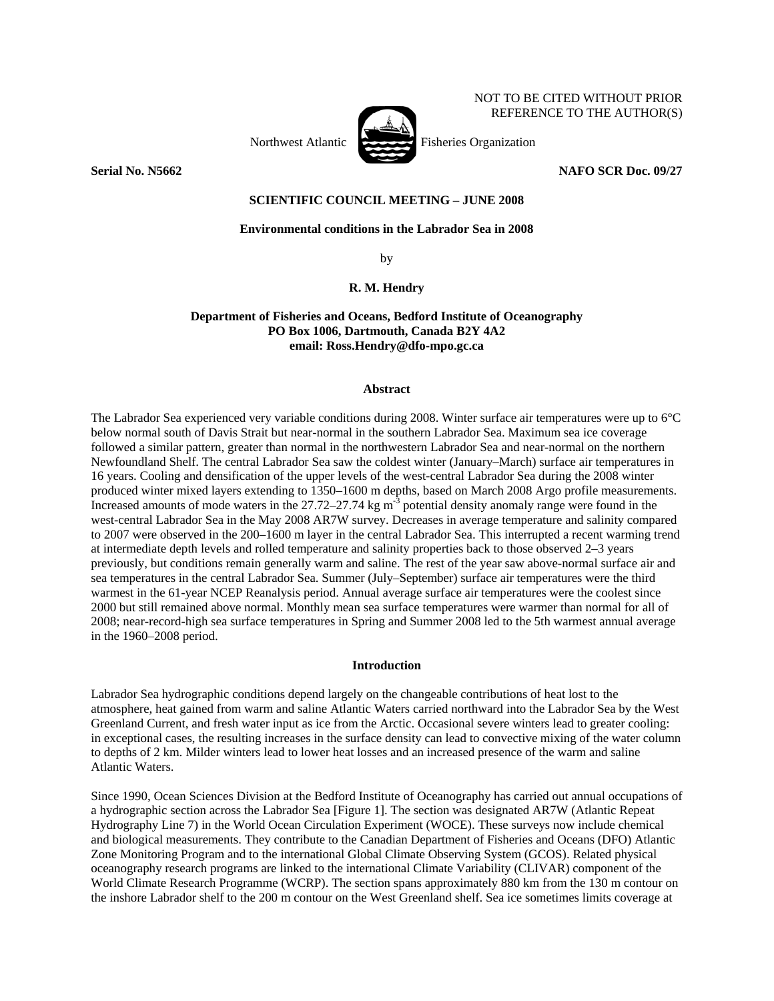

**Serial No. N5662** NAFO SCR Doc. 09/27

NOT TO BE CITED WITHOUT PRIOR REFERENCE TO THE AUTHOR(S)

## **SCIENTIFIC COUNCIL MEETING – JUNE 2008**

# **Environmental conditions in the Labrador Sea in 2008**

by

# **R. M. Hendry**

# **Department of Fisheries and Oceans, Bedford Institute of Oceanography PO Box 1006, Dartmouth, Canada B2Y 4A2 email: Ross.Hendry@dfo-mpo.gc.ca**

### **Abstract**

The Labrador Sea experienced very variable conditions during 2008. Winter surface air temperatures were up to 6°C below normal south of Davis Strait but near-normal in the southern Labrador Sea. Maximum sea ice coverage followed a similar pattern, greater than normal in the northwestern Labrador Sea and near-normal on the northern Newfoundland Shelf. The central Labrador Sea saw the coldest winter (January–March) surface air temperatures in 16 years. Cooling and densification of the upper levels of the west-central Labrador Sea during the 2008 winter produced winter mixed layers extending to 1350–1600 m depths, based on March 2008 Argo profile measurements. Increased amounts of mode waters in the 27.72–27.74 kg m<sup>-3</sup> potential density anomaly range were found in the west-central Labrador Sea in the May 2008 AR7W survey. Decreases in average temperature and salinity compared to 2007 were observed in the 200–1600 m layer in the central Labrador Sea. This interrupted a recent warming trend at intermediate depth levels and rolled temperature and salinity properties back to those observed 2–3 years previously, but conditions remain generally warm and saline. The rest of the year saw above-normal surface air and sea temperatures in the central Labrador Sea. Summer (July–September) surface air temperatures were the third warmest in the 61-year NCEP Reanalysis period. Annual average surface air temperatures were the coolest since 2000 but still remained above normal. Monthly mean sea surface temperatures were warmer than normal for all of 2008; near-record-high sea surface temperatures in Spring and Summer 2008 led to the 5th warmest annual average in the 1960–2008 period.

## **Introduction**

Labrador Sea hydrographic conditions depend largely on the changeable contributions of heat lost to the atmosphere, heat gained from warm and saline Atlantic Waters carried northward into the Labrador Sea by the West Greenland Current, and fresh water input as ice from the Arctic. Occasional severe winters lead to greater cooling: in exceptional cases, the resulting increases in the surface density can lead to convective mixing of the water column to depths of 2 km. Milder winters lead to lower heat losses and an increased presence of the warm and saline Atlantic Waters.

Since 1990, Ocean Sciences Division at the Bedford Institute of Oceanography has carried out annual occupations of a hydrographic section across the Labrador Sea [Figure 1]. The section was designated AR7W (Atlantic Repeat Hydrography Line 7) in the World Ocean Circulation Experiment (WOCE). These surveys now include chemical and biological measurements. They contribute to the Canadian Department of Fisheries and Oceans (DFO) Atlantic Zone Monitoring Program and to the international Global Climate Observing System (GCOS). Related physical oceanography research programs are linked to the international Climate Variability (CLIVAR) component of the World Climate Research Programme (WCRP). The section spans approximately 880 km from the 130 m contour on the inshore Labrador shelf to the 200 m contour on the West Greenland shelf. Sea ice sometimes limits coverage at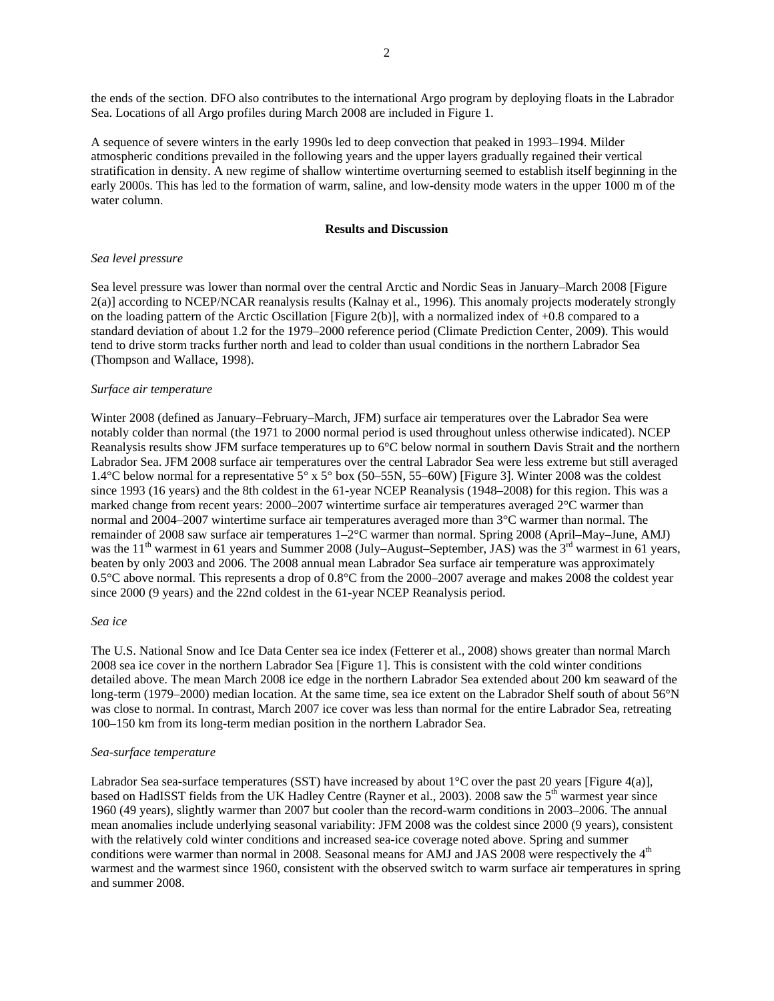the ends of the section. DFO also contributes to the international Argo program by deploying floats in the Labrador Sea. Locations of all Argo profiles during March 2008 are included in Figure 1.

A sequence of severe winters in the early 1990s led to deep convection that peaked in 1993–1994. Milder atmospheric conditions prevailed in the following years and the upper layers gradually regained their vertical stratification in density. A new regime of shallow wintertime overturning seemed to establish itself beginning in the early 2000s. This has led to the formation of warm, saline, and low-density mode waters in the upper 1000 m of the water column.

## **Results and Discussion**

### *Sea level pressure*

Sea level pressure was lower than normal over the central Arctic and Nordic Seas in January–March 2008 [Figure 2(a)] according to NCEP/NCAR reanalysis results (Kalnay et al., 1996). This anomaly projects moderately strongly on the loading pattern of the Arctic Oscillation [Figure 2(b)], with a normalized index of +0.8 compared to a standard deviation of about 1.2 for the 1979–2000 reference period (Climate Prediction Center, 2009). This would tend to drive storm tracks further north and lead to colder than usual conditions in the northern Labrador Sea (Thompson and Wallace, 1998).

### *Surface air temperature*

Winter 2008 (defined as January–February–March, JFM) surface air temperatures over the Labrador Sea were notably colder than normal (the 1971 to 2000 normal period is used throughout unless otherwise indicated). NCEP Reanalysis results show JFM surface temperatures up to 6°C below normal in southern Davis Strait and the northern Labrador Sea. JFM 2008 surface air temperatures over the central Labrador Sea were less extreme but still averaged 1.4°C below normal for a representative 5° x 5° box (50–55N, 55–60W) [Figure 3]. Winter 2008 was the coldest since 1993 (16 years) and the 8th coldest in the 61-year NCEP Reanalysis (1948–2008) for this region. This was a marked change from recent years: 2000–2007 wintertime surface air temperatures averaged 2°C warmer than normal and 2004–2007 wintertime surface air temperatures averaged more than 3°C warmer than normal. The remainder of 2008 saw surface air temperatures 1–2°C warmer than normal. Spring 2008 (April–May–June, AMJ) was the 11<sup>th</sup> warmest in 61 years and Summer 2008 (July–August–September, JAS) was the 3<sup>rd</sup> warmest in 61 years, beaten by only 2003 and 2006. The 2008 annual mean Labrador Sea surface air temperature was approximately 0.5°C above normal. This represents a drop of 0.8°C from the 2000–2007 average and makes 2008 the coldest year since 2000 (9 years) and the 22nd coldest in the 61-year NCEP Reanalysis period.

#### *Sea ice*

The U.S. National Snow and Ice Data Center sea ice index (Fetterer et al., 2008) shows greater than normal March 2008 sea ice cover in the northern Labrador Sea [Figure 1]. This is consistent with the cold winter conditions detailed above. The mean March 2008 ice edge in the northern Labrador Sea extended about 200 km seaward of the long-term (1979–2000) median location. At the same time, sea ice extent on the Labrador Shelf south of about 56°N was close to normal. In contrast, March 2007 ice cover was less than normal for the entire Labrador Sea, retreating 100–150 km from its long-term median position in the northern Labrador Sea.

#### *Sea-surface temperature*

Labrador Sea sea-surface temperatures (SST) have increased by about 1°C over the past 20 years [Figure 4(a)], based on HadISST fields from the UK Hadley Centre (Rayner et al., 2003). 2008 saw the 5<sup>th</sup> warmest year since 1960 (49 years), slightly warmer than 2007 but cooler than the record-warm conditions in 2003–2006. The annual mean anomalies include underlying seasonal variability: JFM 2008 was the coldest since 2000 (9 years), consistent with the relatively cold winter conditions and increased sea-ice coverage noted above. Spring and summer conditions were warmer than normal in 2008. Seasonal means for AMJ and JAS 2008 were respectively the 4<sup>th</sup> warmest and the warmest since 1960, consistent with the observed switch to warm surface air temperatures in spring and summer 2008.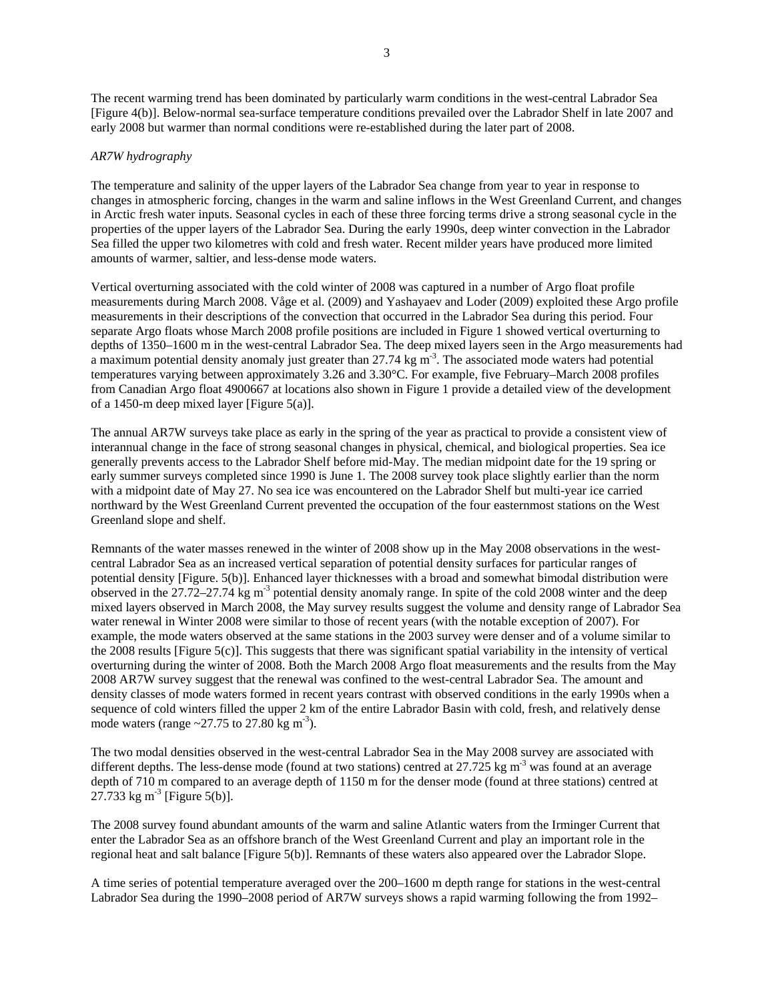The recent warming trend has been dominated by particularly warm conditions in the west-central Labrador Sea [Figure 4(b)]. Below-normal sea-surface temperature conditions prevailed over the Labrador Shelf in late 2007 and early 2008 but warmer than normal conditions were re-established during the later part of 2008.

### *AR7W hydrography*

The temperature and salinity of the upper layers of the Labrador Sea change from year to year in response to changes in atmospheric forcing, changes in the warm and saline inflows in the West Greenland Current, and changes in Arctic fresh water inputs. Seasonal cycles in each of these three forcing terms drive a strong seasonal cycle in the properties of the upper layers of the Labrador Sea. During the early 1990s, deep winter convection in the Labrador Sea filled the upper two kilometres with cold and fresh water. Recent milder years have produced more limited amounts of warmer, saltier, and less-dense mode waters.

Vertical overturning associated with the cold winter of 2008 was captured in a number of Argo float profile measurements during March 2008. Våge et al. (2009) and Yashayaev and Loder (2009) exploited these Argo profile measurements in their descriptions of the convection that occurred in the Labrador Sea during this period. Four separate Argo floats whose March 2008 profile positions are included in Figure 1 showed vertical overturning to depths of 1350–1600 m in the west-central Labrador Sea. The deep mixed layers seen in the Argo measurements had a maximum potential density anomaly just greater than 27.74 kg m<sup>-3</sup>. The associated mode waters had potential temperatures varying between approximately 3.26 and 3.30°C. For example, five February–March 2008 profiles from Canadian Argo float 4900667 at locations also shown in Figure 1 provide a detailed view of the development of a 1450-m deep mixed layer [Figure 5(a)].

The annual AR7W surveys take place as early in the spring of the year as practical to provide a consistent view of interannual change in the face of strong seasonal changes in physical, chemical, and biological properties. Sea ice generally prevents access to the Labrador Shelf before mid-May. The median midpoint date for the 19 spring or early summer surveys completed since 1990 is June 1. The 2008 survey took place slightly earlier than the norm with a midpoint date of May 27. No sea ice was encountered on the Labrador Shelf but multi-year ice carried northward by the West Greenland Current prevented the occupation of the four easternmost stations on the West Greenland slope and shelf.

Remnants of the water masses renewed in the winter of 2008 show up in the May 2008 observations in the westcentral Labrador Sea as an increased vertical separation of potential density surfaces for particular ranges of potential density [Figure. 5(b)]. Enhanced layer thicknesses with a broad and somewhat bimodal distribution were observed in the  $27.72-27.74 \text{ kg m}^{-3}$  potential density anomaly range. In spite of the cold 2008 winter and the deep mixed layers observed in March 2008, the May survey results suggest the volume and density range of Labrador Sea water renewal in Winter 2008 were similar to those of recent years (with the notable exception of 2007). For example, the mode waters observed at the same stations in the 2003 survey were denser and of a volume similar to the 2008 results [Figure 5(c)]. This suggests that there was significant spatial variability in the intensity of vertical overturning during the winter of 2008. Both the March 2008 Argo float measurements and the results from the May 2008 AR7W survey suggest that the renewal was confined to the west-central Labrador Sea. The amount and density classes of mode waters formed in recent years contrast with observed conditions in the early 1990s when a sequence of cold winters filled the upper 2 km of the entire Labrador Basin with cold, fresh, and relatively dense mode waters (range  $\approx$  27.75 to 27.80 kg m<sup>-3</sup>).

The two modal densities observed in the west-central Labrador Sea in the May 2008 survey are associated with different depths. The less-dense mode (found at two stations) centred at 27.725 kg  $m<sup>3</sup>$  was found at an average depth of 710 m compared to an average depth of 1150 m for the denser mode (found at three stations) centred at 27.733 kg m<sup>-3</sup> [Figure 5(b)].

The 2008 survey found abundant amounts of the warm and saline Atlantic waters from the Irminger Current that enter the Labrador Sea as an offshore branch of the West Greenland Current and play an important role in the regional heat and salt balance [Figure 5(b)]. Remnants of these waters also appeared over the Labrador Slope.

A time series of potential temperature averaged over the 200–1600 m depth range for stations in the west-central Labrador Sea during the 1990–2008 period of AR7W surveys shows a rapid warming following the from 1992–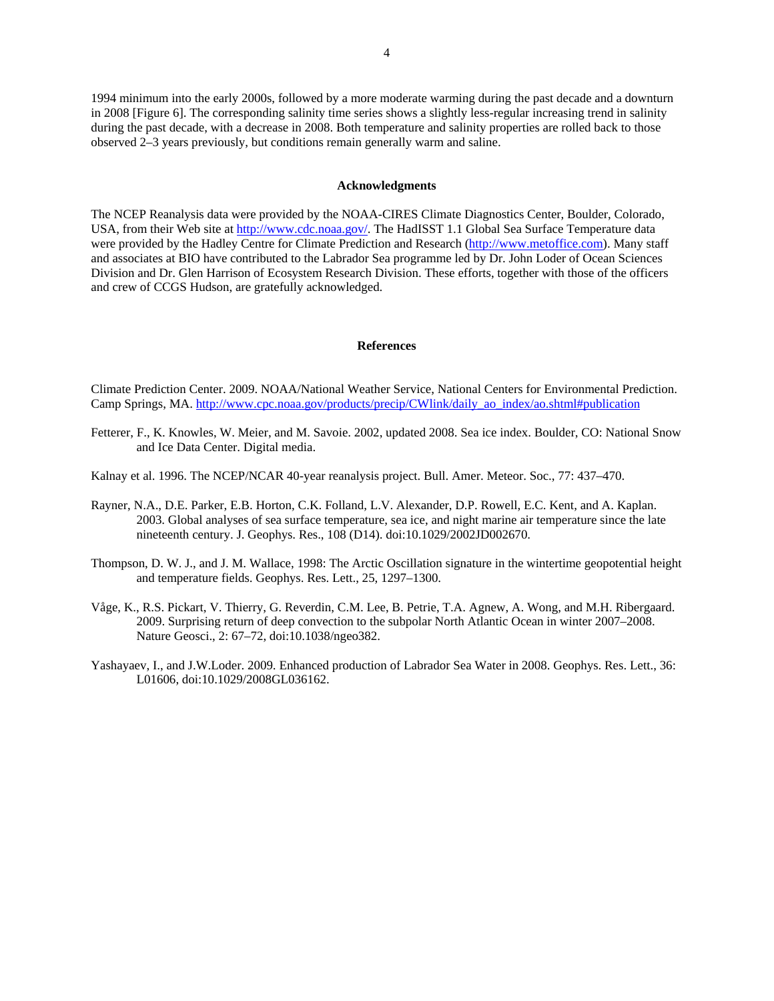1994 minimum into the early 2000s, followed by a more moderate warming during the past decade and a downturn in 2008 [Figure 6]. The corresponding salinity time series shows a slightly less-regular increasing trend in salinity during the past decade, with a decrease in 2008. Both temperature and salinity properties are rolled back to those observed 2–3 years previously, but conditions remain generally warm and saline.

#### **Acknowledgments**

The NCEP Reanalysis data were provided by the NOAA-CIRES Climate Diagnostics Center, Boulder, Colorado, USA, from their Web site at http://www.cdc.noaa.gov/. The HadISST 1.1 Global Sea Surface Temperature data were provided by the Hadley Centre for Climate Prediction and Research (http://www.metoffice.com). Many staff and associates at BIO have contributed to the Labrador Sea programme led by Dr. John Loder of Ocean Sciences Division and Dr. Glen Harrison of Ecosystem Research Division. These efforts, together with those of the officers and crew of CCGS Hudson, are gratefully acknowledged.

## **References**

Climate Prediction Center. 2009. NOAA/National Weather Service, National Centers for Environmental Prediction. Camp Springs, MA. http://www.cpc.noaa.gov/products/precip/CWlink/daily\_ao\_index/ao.shtml#publication

- Fetterer, F., K. Knowles, W. Meier, and M. Savoie. 2002, updated 2008. Sea ice index. Boulder, CO: National Snow and Ice Data Center. Digital media.
- Kalnay et al. 1996. The NCEP/NCAR 40-year reanalysis project. Bull. Amer. Meteor. Soc., 77: 437–470.
- Rayner, N.A., D.E. Parker, E.B. Horton, C.K. Folland, L.V. Alexander, D.P. Rowell, E.C. Kent, and A. Kaplan. 2003. Global analyses of sea surface temperature, sea ice, and night marine air temperature since the late nineteenth century. J. Geophys. Res., 108 (D14). doi:10.1029/2002JD002670.
- Thompson, D. W. J., and J. M. Wallace, 1998: The Arctic Oscillation signature in the wintertime geopotential height and temperature fields. Geophys. Res. Lett., 25, 1297–1300.
- Våge, K., R.S. Pickart, V. Thierry, G. Reverdin, C.M. Lee, B. Petrie, T.A. Agnew, A. Wong, and M.H. Ribergaard. 2009. Surprising return of deep convection to the subpolar North Atlantic Ocean in winter 2007–2008. Nature Geosci., 2: 67–72, doi:10.1038/ngeo382.
- Yashayaev, I., and J.W.Loder. 2009. Enhanced production of Labrador Sea Water in 2008. Geophys. Res. Lett., 36: L01606, doi:10.1029/2008GL036162.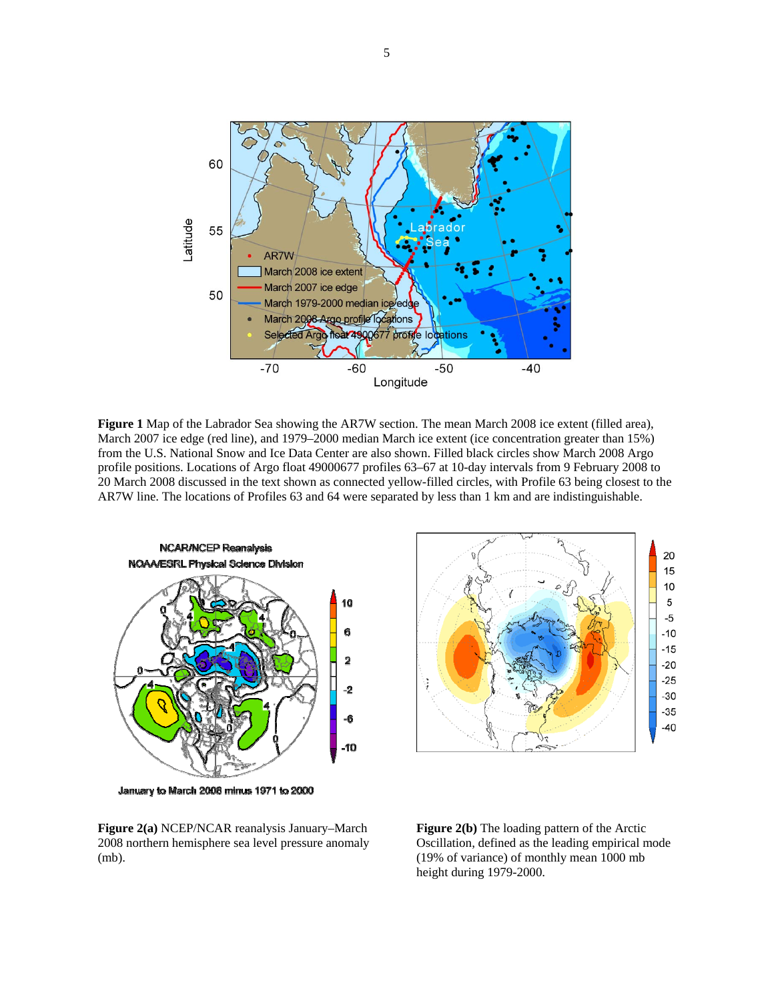

**Figure 1** Map of the Labrador Sea showing the AR7W section. The mean March 2008 ice extent (filled area), March 2007 ice edge (red line), and 1979–2000 median March ice extent (ice concentration greater than 15%) from the U.S. National Snow and Ice Data Center are also shown. Filled black circles show March 2008 Argo profile positions. Locations of Argo float 49000677 profiles 63–67 at 10-day intervals from 9 February 2008 to 20 March 2008 discussed in the text shown as connected yellow-filled circles, with Profile 63 being closest to the AR7W line. The locations of Profiles 63 and 64 were separated by less than 1 km and are indistinguishable.



January to March 2008 minus 1971 to 2000



**Figure 2(a)** NCEP/NCAR reanalysis January–March 2008 northern hemisphere sea level pressure anomaly (mb).

**Figure 2(b)** The loading pattern of the Arctic Oscillation, defined as the leading empirical mode (19% of variance) of monthly mean 1000 mb height during 1979-2000.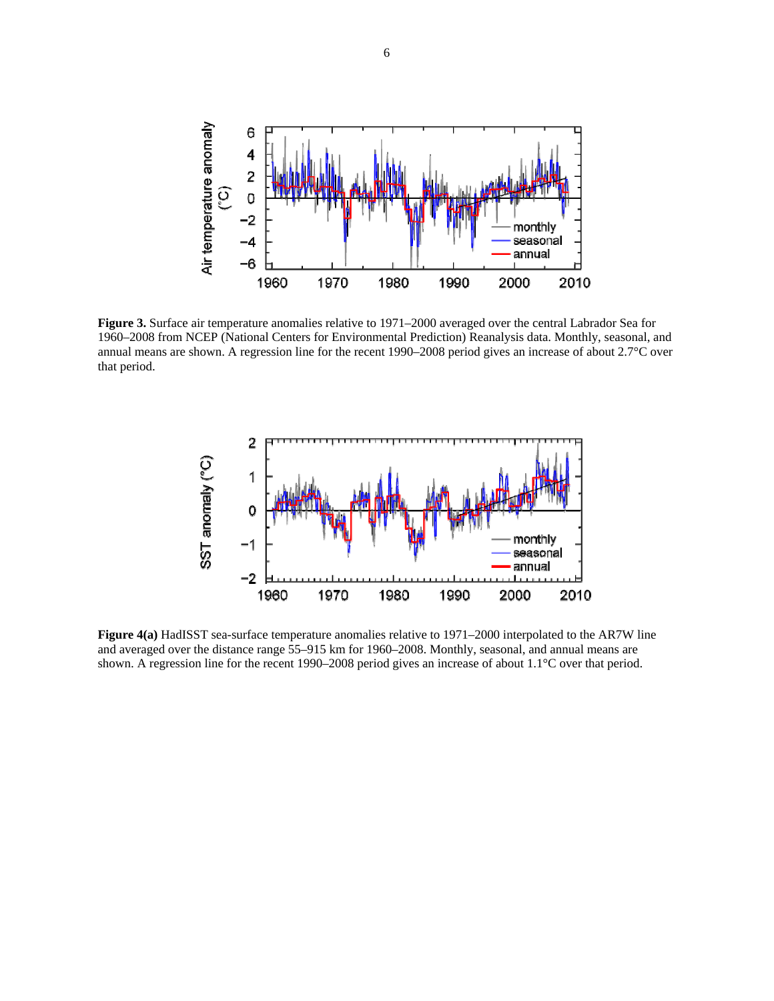

**Figure 3.** Surface air temperature anomalies relative to 1971–2000 averaged over the central Labrador Sea for 1960–2008 from NCEP (National Centers for Environmental Prediction) Reanalysis data. Monthly, seasonal, and annual means are shown. A regression line for the recent 1990–2008 period gives an increase of about 2.7°C over that period.



**Figure 4(a)** HadISST sea-surface temperature anomalies relative to 1971–2000 interpolated to the AR7W line and averaged over the distance range 55–915 km for 1960–2008. Monthly, seasonal, and annual means are shown. A regression line for the recent 1990–2008 period gives an increase of about 1.1°C over that period.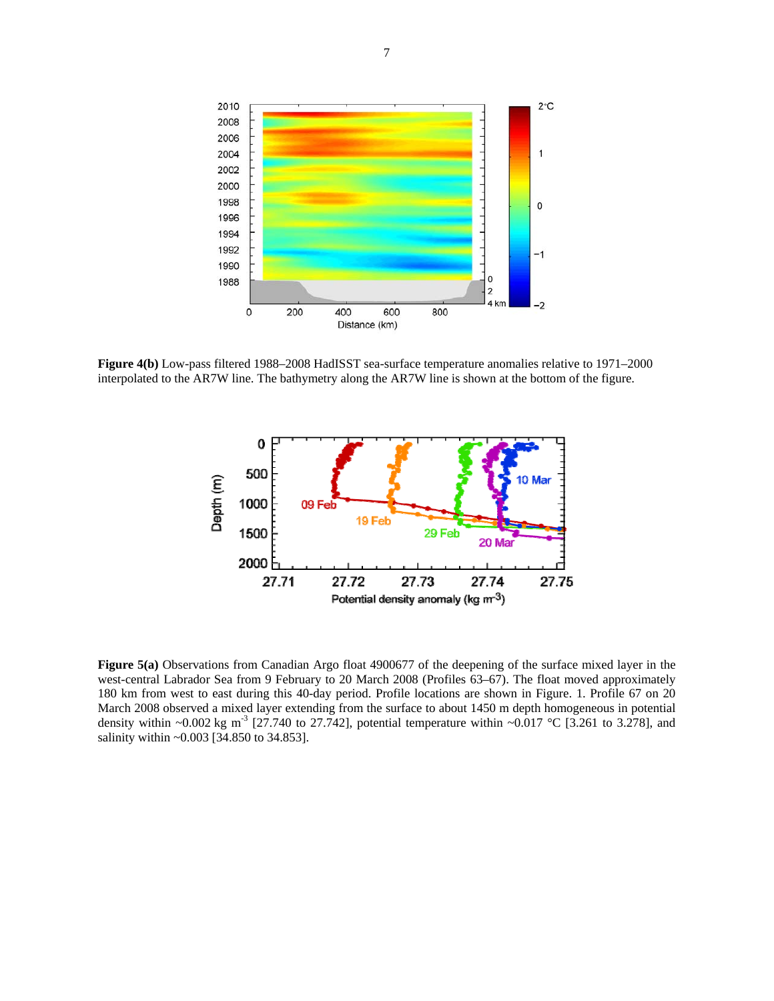

**Figure 4(b)** Low-pass filtered 1988–2008 HadISST sea-surface temperature anomalies relative to 1971–2000 interpolated to the AR7W line. The bathymetry along the AR7W line is shown at the bottom of the figure.



**Figure 5(a)** Observations from Canadian Argo float 4900677 of the deepening of the surface mixed layer in the west-central Labrador Sea from 9 February to 20 March 2008 (Profiles 63–67). The float moved approximately 180 km from west to east during this 40-day period. Profile locations are shown in Figure. 1. Profile 67 on 20 March 2008 observed a mixed layer extending from the surface to about 1450 m depth homogeneous in potential density within ~0.002 kg m<sup>-3</sup> [27.740 to 27.742], potential temperature within ~0.017 °C [3.261 to 3.278], and salinity within ~0.003 [34.850 to 34.853].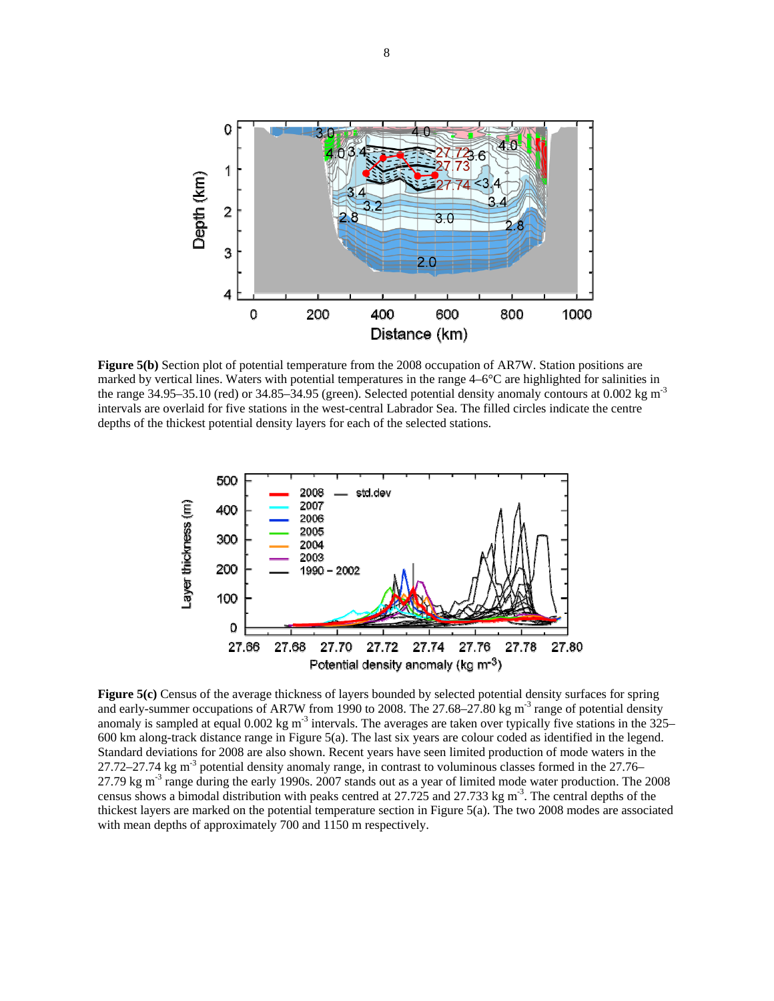

**Figure 5(b)** Section plot of potential temperature from the 2008 occupation of AR7W. Station positions are marked by vertical lines. Waters with potential temperatures in the range 4–6°C are highlighted for salinities in the range 34.95–35.10 (red) or 34.85–34.95 (green). Selected potential density anomaly contours at 0.002 kg m<sup>-3</sup> intervals are overlaid for five stations in the west-central Labrador Sea. The filled circles indicate the centre depths of the thickest potential density layers for each of the selected stations.



**Figure 5(c)** Census of the average thickness of layers bounded by selected potential density surfaces for spring and early-summer occupations of AR7W from 1990 to 2008. The 27.68–27.80 kg m<sup>-3</sup> range of potential density anomaly is sampled at equal 0.002 kg m<sup>-3</sup> intervals. The averages are taken over typically five stations in the 325– 600 km along-track distance range in Figure 5(a). The last six years are colour coded as identified in the legend. Standard deviations for 2008 are also shown. Recent years have seen limited production of mode waters in the 27.72–27.74 kg m-3 potential density anomaly range, in contrast to voluminous classes formed in the 27.76– 27.79 kg m<sup>-3</sup> range during the early 1990s. 2007 stands out as a year of limited mode water production. The 2008 census shows a bimodal distribution with peaks centred at 27.725 and 27.733 kg m<sup>-3</sup>. The central depths of the thickest layers are marked on the potential temperature section in Figure 5(a). The two 2008 modes are associated with mean depths of approximately 700 and 1150 m respectively.